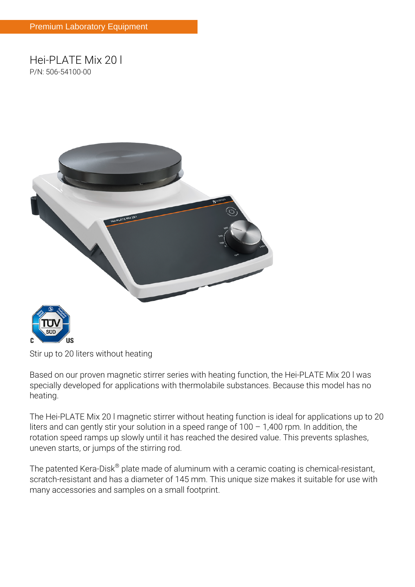## **Hei-PLATE Mix 20 l P/N: 506-54100-00**





**Stir up to 20 liters without heating**

Based on our proven magnetic stirrer series with heating function, the Hei-PLATE Mix 20 l was specially developed for applications with thermolabile substances. Because this model has no heating.

The Hei-PLATE Mix 20 l magnetic stirrer without heating function is ideal for applications up to 20 liters and can gently stir your solution in a speed range of  $100 - 1,400$  rpm. In addition, the rotation speed ramps up slowly until it has reached the desired value. This prevents splashes, uneven starts, or jumps of the stirring rod.

The patented Kera-Disk $^\circledast$  plate made of aluminum with a ceramic coating is chemical-resistant, scratch-resistant and has a diameter of 145 mm. This unique size makes it suitable for use with many accessories and samples on a small footprint.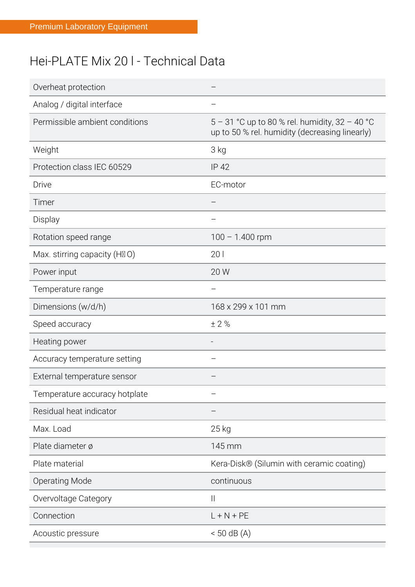## **Hei-PLATE Mix 20 l - Technical Data**

| Overheat protection             |                                                                                                  |
|---------------------------------|--------------------------------------------------------------------------------------------------|
| Analog / digital interface      |                                                                                                  |
| Permissible ambient conditions  | 5 - 31 °C up to 80 % rel. humidity, 32 - 40 °C<br>up to 50 % rel. humidity (decreasing linearly) |
| Weight                          | 3 kg                                                                                             |
| Protection class IEC 60529      | <b>IP 42</b>                                                                                     |
| Drive                           | EC-motor                                                                                         |
| Timer                           |                                                                                                  |
| Display                         |                                                                                                  |
| Rotation speed range            | $100 - 1.400$ rpm                                                                                |
| Max. stirring capacity (H\\\ O) | 201                                                                                              |
| Power input                     | 20 W                                                                                             |
| Temperature range               |                                                                                                  |
| Dimensions (w/d/h)              | 168 x 299 x 101 mm                                                                               |
| Speed accuracy                  | ± 2%                                                                                             |
| Heating power                   | $\overline{\phantom{a}}$                                                                         |
| Accuracy temperature setting    |                                                                                                  |
| External temperature sensor     |                                                                                                  |
| Temperature accuracy hotplate   |                                                                                                  |
| Residual heat indicator         |                                                                                                  |
| Max. Load                       | 25 kg                                                                                            |
| Plate diameter ø                | 145 mm                                                                                           |
| Plate material                  | Kera-Disk® (Silumin with ceramic coating)                                                        |
| <b>Operating Mode</b>           | continuous                                                                                       |
| Overvoltage Category            | $\vert$                                                                                          |
| Connection                      | $L + N + PE$                                                                                     |
| Acoustic pressure               | $<$ 50 dB (A)                                                                                    |